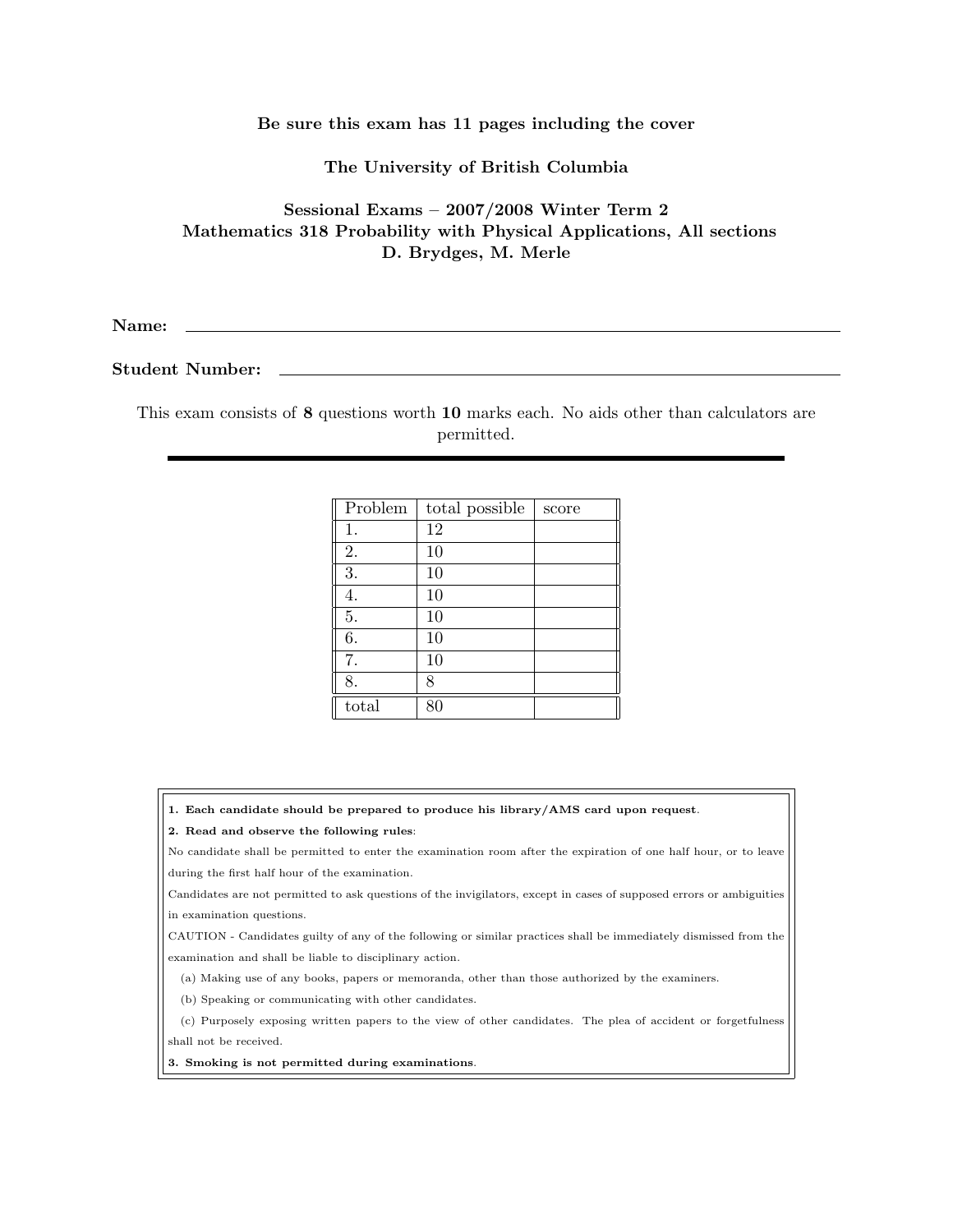### Be sure this exam has 11 pages including the cover

## The University of British Columbia

# Sessional Exams – 2007/2008 Winter Term 2 Mathematics 318 Probability with Physical Applications, All sections D. Brydges, M. Merle

Name:

### Student Number:

This exam consists of 8 questions worth 10 marks each. No aids other than calculators are permitted.

| Problem | total possible | score |
|---------|----------------|-------|
| 1.      | 12             |       |
| 2.      | 10             |       |
| 3.      | 10             |       |
| 4.      | 10             |       |
| 5.      | 10             |       |
| 6.      | 10             |       |
| 7.      | 10             |       |
| 8.      | 8              |       |
| total   |                |       |

1. Each candidate should be prepared to produce his library/AMS card upon request.

#### 2. Read and observe the following rules:

No candidate shall be permitted to enter the examination room after the expiration of one half hour, or to leave during the first half hour of the examination.

Candidates are not permitted to ask questions of the invigilators, except in cases of supposed errors or ambiguities in examination questions.

CAUTION - Candidates guilty of any of the following or similar practices shall be immediately dismissed from the examination and shall be liable to disciplinary action.

(a) Making use of any books, papers or memoranda, other than those authorized by the examiners.

(b) Speaking or communicating with other candidates.

(c) Purposely exposing written papers to the view of other candidates. The plea of accident or forgetfulness shall not be received.

3. Smoking is not permitted during examinations.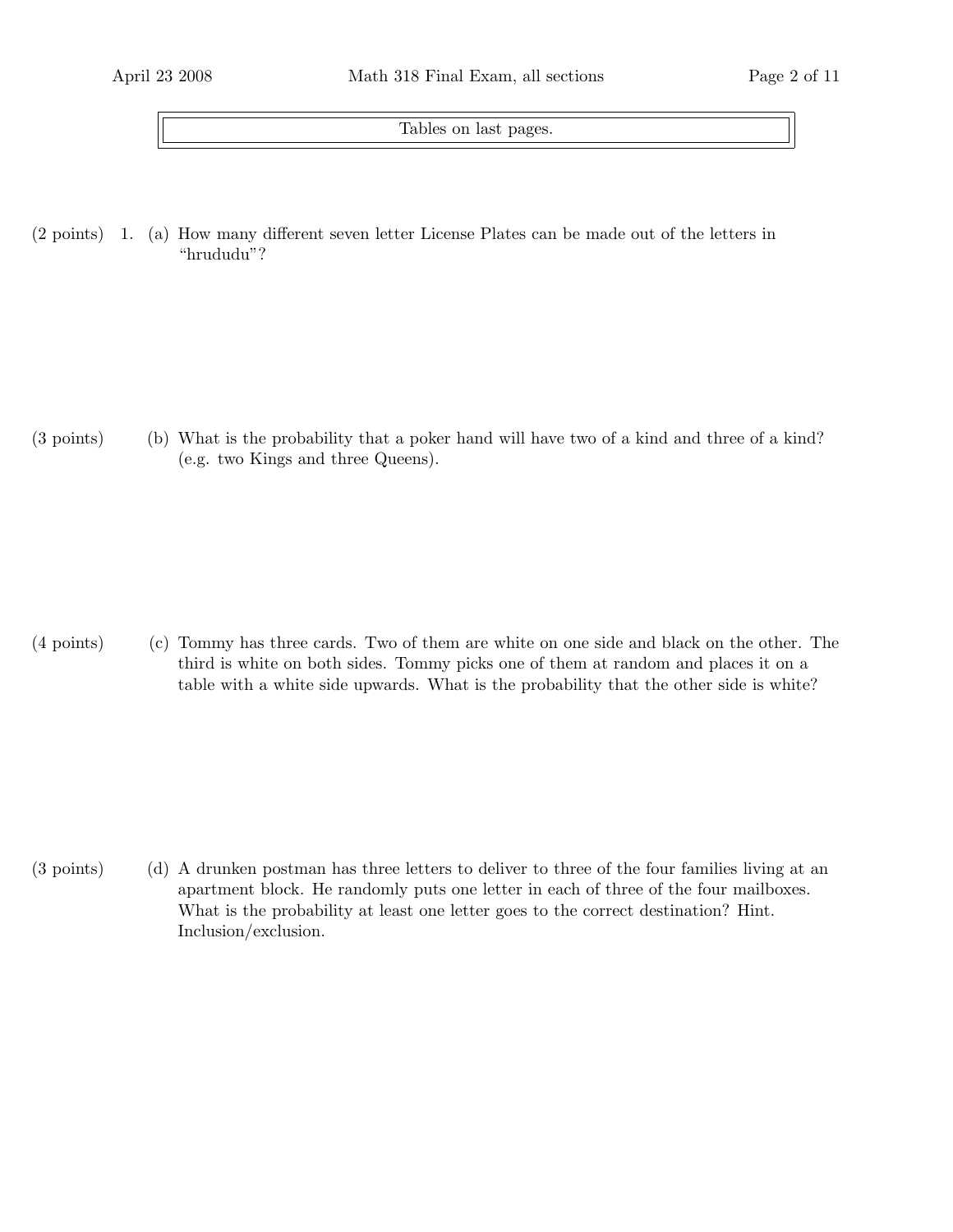Tables on last pages.

 $(2 \text{ points})$  1. (a) How many different seven letter License Plates can be made out of the letters in "hrududu"?

(3 points) What is the probability that a poker hand will have two of a kind and three of a kind? (b) (e.g. two Kings and three Queens).

(4 points) (c) Tommy has three cards. Two of them are white on one side and black on the other. The third is white on both sides. Tommy picks one of them at random and places it on a table with a white side upwards. What is the probability that the other side is white?

(3 points) (d) A drunken postman has three letters to deliver to three of the four families living at an apartment block. He randomly puts one letter in each of three of the four mailboxes. What is the probability at least one letter goes to the correct destination? Hint. Inclusion/exclusion.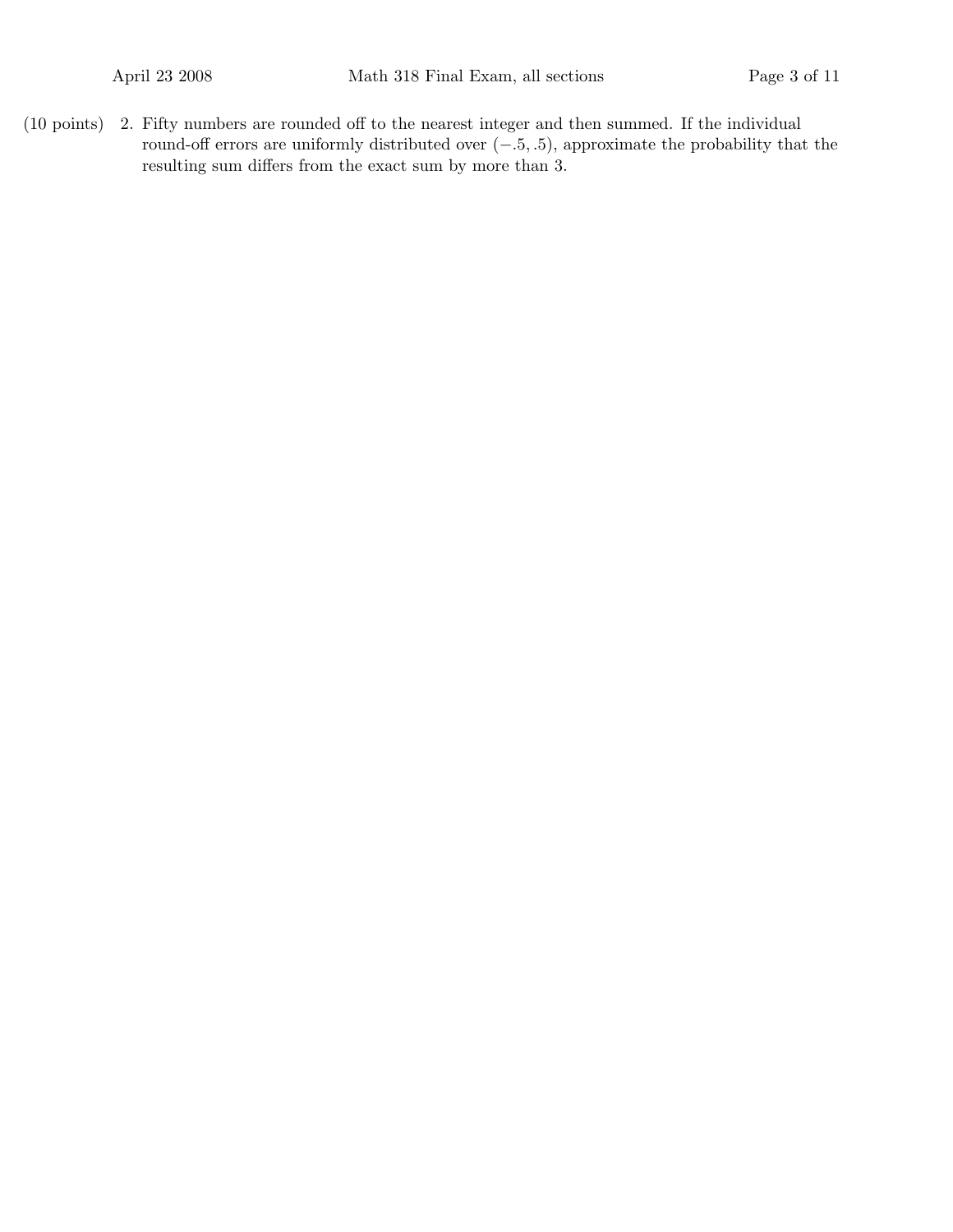$(10 \text{ points})$  2. Fifty numbers are rounded off to the nearest integer and then summed. If the individual round-off errors are uniformly distributed over  $(-.5, .5)$ , approximate the probability that the resulting sum differs from the exact sum by more than 3.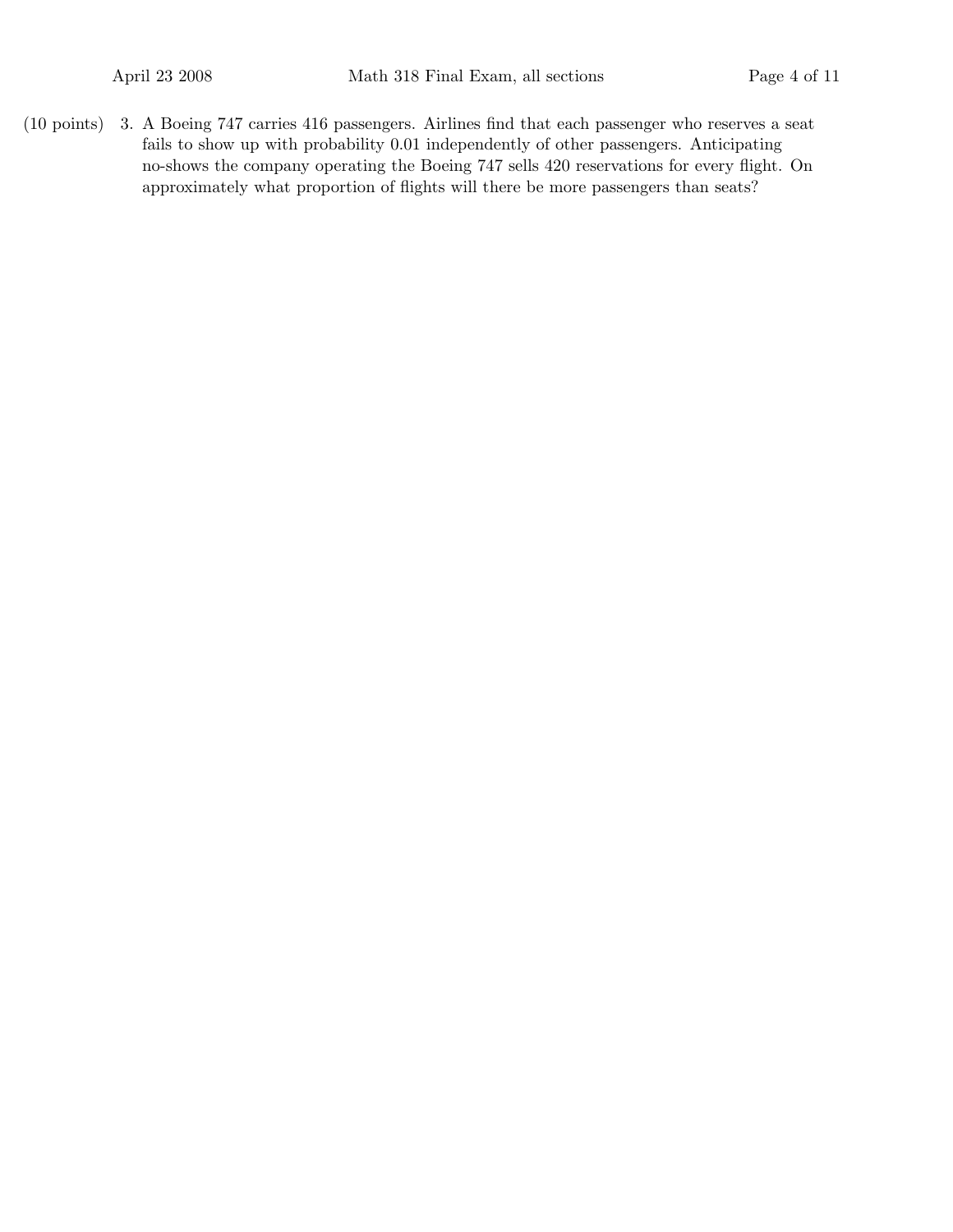(10 points) 3. A Boeing 747 carries 416 passengers. Airlines find that each passenger who reserves a seat fails to show up with probability 0.01 independently of other passengers. Anticipating no-shows the company operating the Boeing 747 sells 420 reservations for every flight. On approximately what proportion of flights will there be more passengers than seats?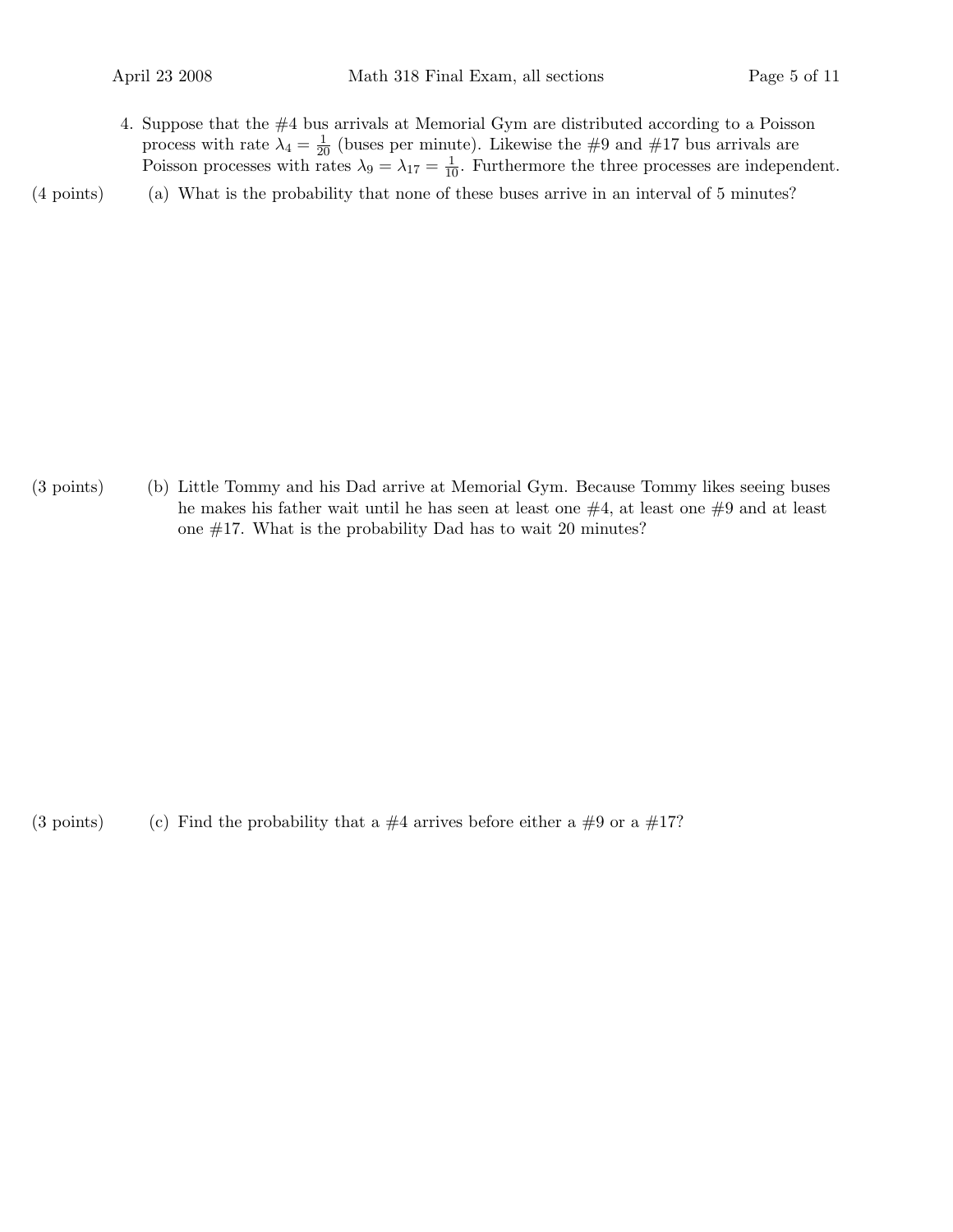4. Suppose that the #4 bus arrivals at Memorial Gym are distributed according to a Poisson process with rate  $\lambda_4 = \frac{1}{20}$  (buses per minute). Likewise the #9 and #17 bus arrivals are Poisson processes with rates  $\lambda_9 = \lambda_{17} = \frac{1}{10}$ . Furthermore the three processes are independent.

(4 points) What is the probability that none of these buses arrive in an interval of 5 minutes? (a)

(3 points) Little Tommy and his Dad arrive at Memorial Gym. Because Tommy likes seeing buses (b) he makes his father wait until he has seen at least one  $#4$ , at least one  $#9$  and at least one #17. What is the probability Dad has to wait 20 minutes?

(3 points) (c) Find the probability that a  $\#4$  arrives before either a  $\#9$  or a  $\#17$ ?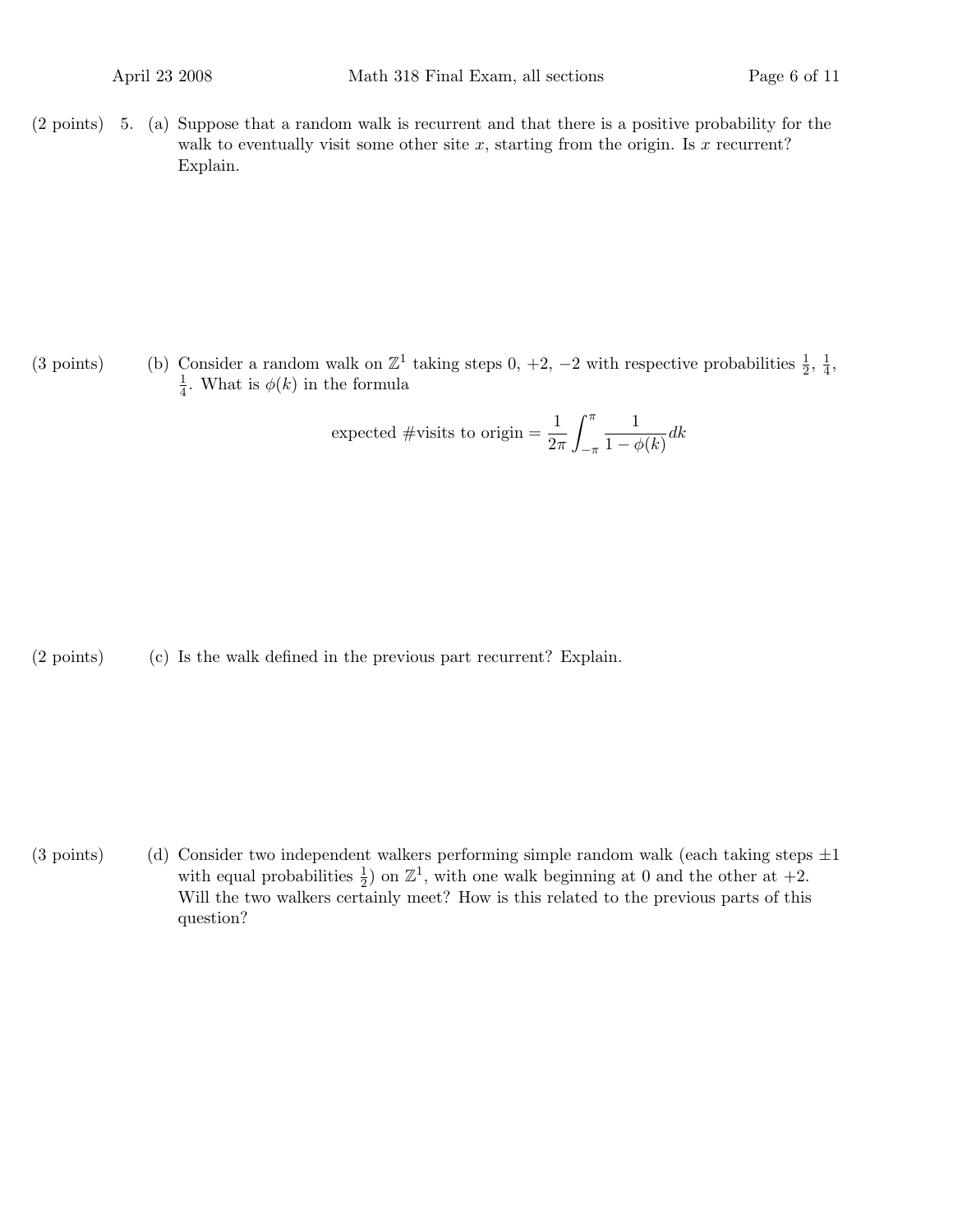(2 points) 5. (a) Suppose that a random walk is recurrent and that there is a positive probability for the walk to eventually visit some other site  $x$ , starting from the origin. Is  $x$  recurrent? Explain.

(3 points) (b) Consider a random walk on  $\mathbb{Z}^1$  taking steps 0, +2, -2 with respective probabilities  $\frac{1}{2}$ ,  $\frac{1}{4}$  $\frac{1}{4}$ , 1  $\frac{1}{4}$ . What is  $\phi(k)$  in the formula

expected #visits to origin 
$$
=
$$
  $\frac{1}{2\pi} \int_{-\pi}^{\pi} \frac{1}{1 - \phi(k)} dk$ 

 $(2 \text{ points})$   $(c)$  Is the walk defined in the previous part recurrent? Explain.

(3 points) (d) Consider two independent walkers performing simple random walk (each taking steps  $\pm 1$ with equal probabilities  $\frac{1}{2}$  on  $\mathbb{Z}^1$ , with one walk beginning at 0 and the other at  $+2$ . Will the two walkers certainly meet? How is this related to the previous parts of this question?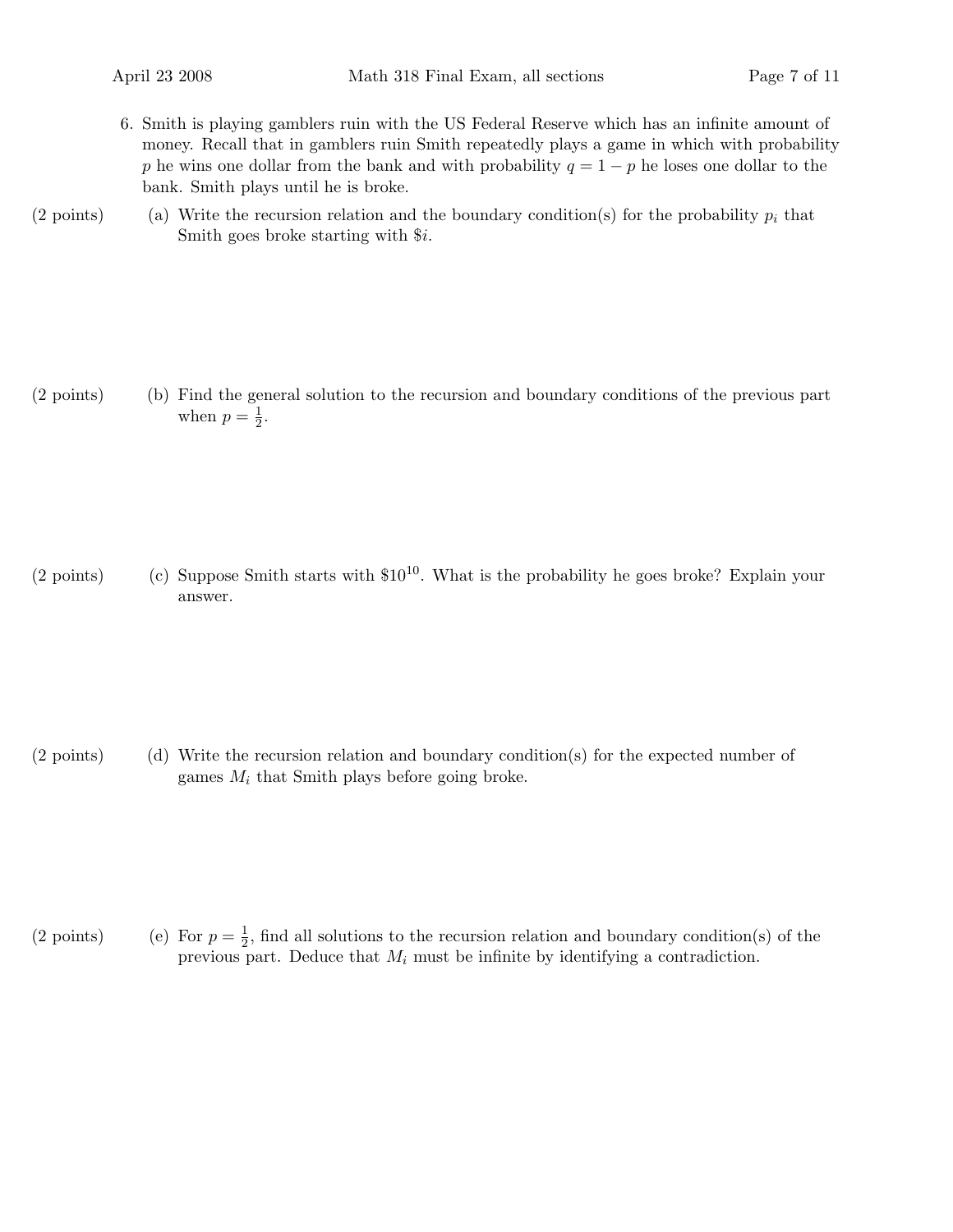- 6. Smith is playing gamblers ruin with the US Federal Reserve which has an infinite amount of money. Recall that in gamblers ruin Smith repeatedly plays a game in which with probability p he wins one dollar from the bank and with probability  $q = 1 - p$  he loses one dollar to the bank. Smith plays until he is broke.
- (2 points) (a) Write the recursion relation and the boundary condition(s) for the probability  $p_i$  that Smith goes broke starting with \$i.

(2 points) Find the general solution to the recursion and boundary conditions of the previous part (b) when  $p=\frac{1}{2}$  $rac{1}{2}$ .

(2 points) (c) Suppose Smith starts with  $$10^{10}$ . What is the probability he goes broke? Explain your answer.

(2 points) Write the recursion relation and boundary condition(s) for the expected number of (d) games  $M_i$  that Smith plays before going broke.

(2 points) (e) For  $p = \frac{1}{2}$  $\frac{1}{2}$ , find all solutions to the recursion relation and boundary condition(s) of the previous part. Deduce that  $M_i$  must be infinite by identifying a contradiction.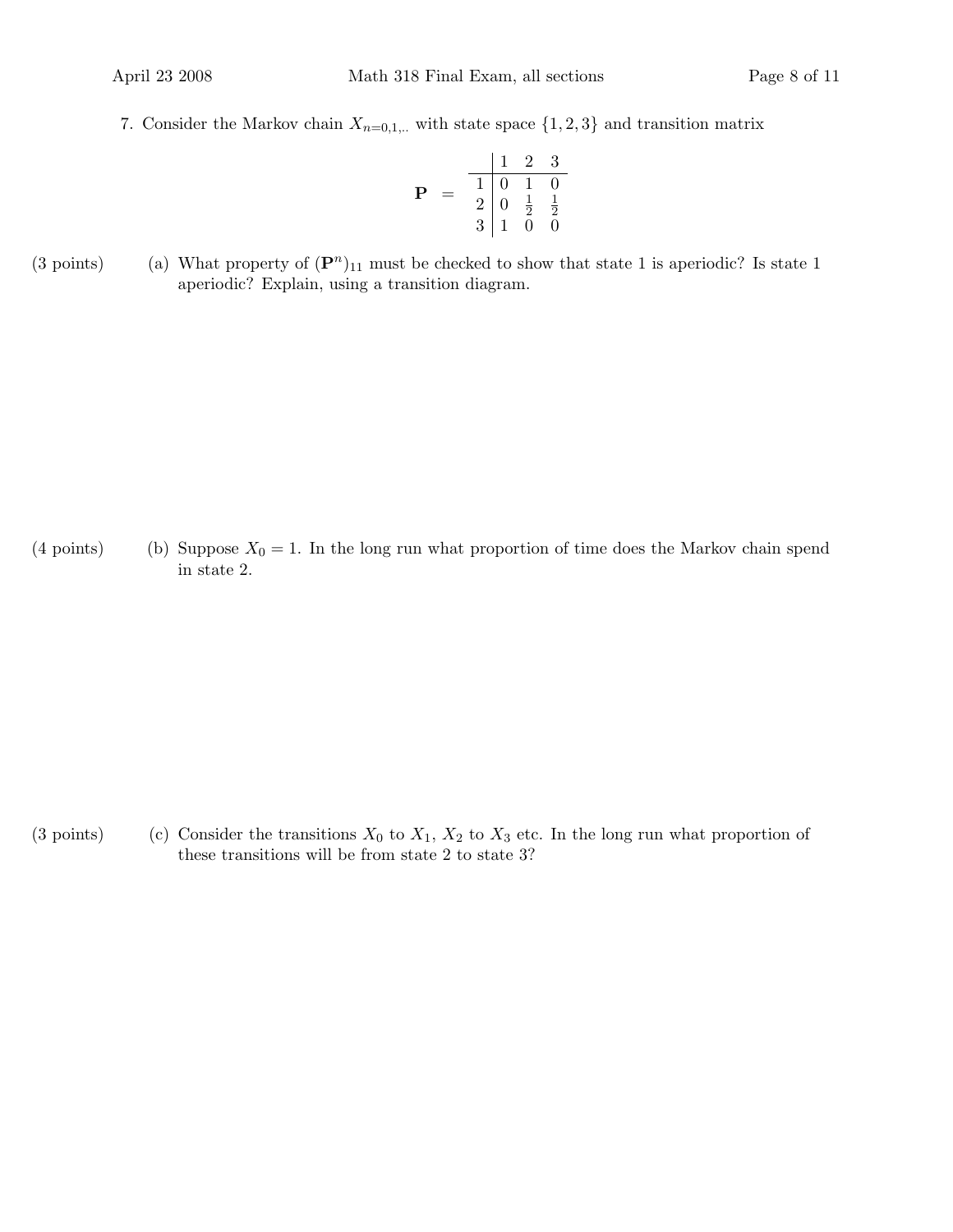7. Consider the Markov chain  $X_{n=0,1,...}$  with state space  $\{1,2,3\}$  and transition matrix

$$
\mathbf{P} = \begin{array}{c|cc} & 1 & 2 & 3 \\ \hline 1 & 0 & 1 & 0 \\ 2 & 0 & \frac{1}{2} & \frac{1}{2} \\ 3 & 1 & 0 & 0 \end{array}
$$

(3 points) (a) What property of  $(\mathbf{P}^n)_{11}$  must be checked to show that state 1 is aperiodic? Is state 1 aperiodic? Explain, using a transition diagram.

(4 points) (b) Suppose  $X_0 = 1$ . In the long run what proportion of time does the Markov chain spend in state 2.

(3 points) (c) Consider the transitions  $X_0$  to  $X_1$ ,  $X_2$  to  $X_3$  etc. In the long run what proportion of these transitions will be from state 2 to state 3?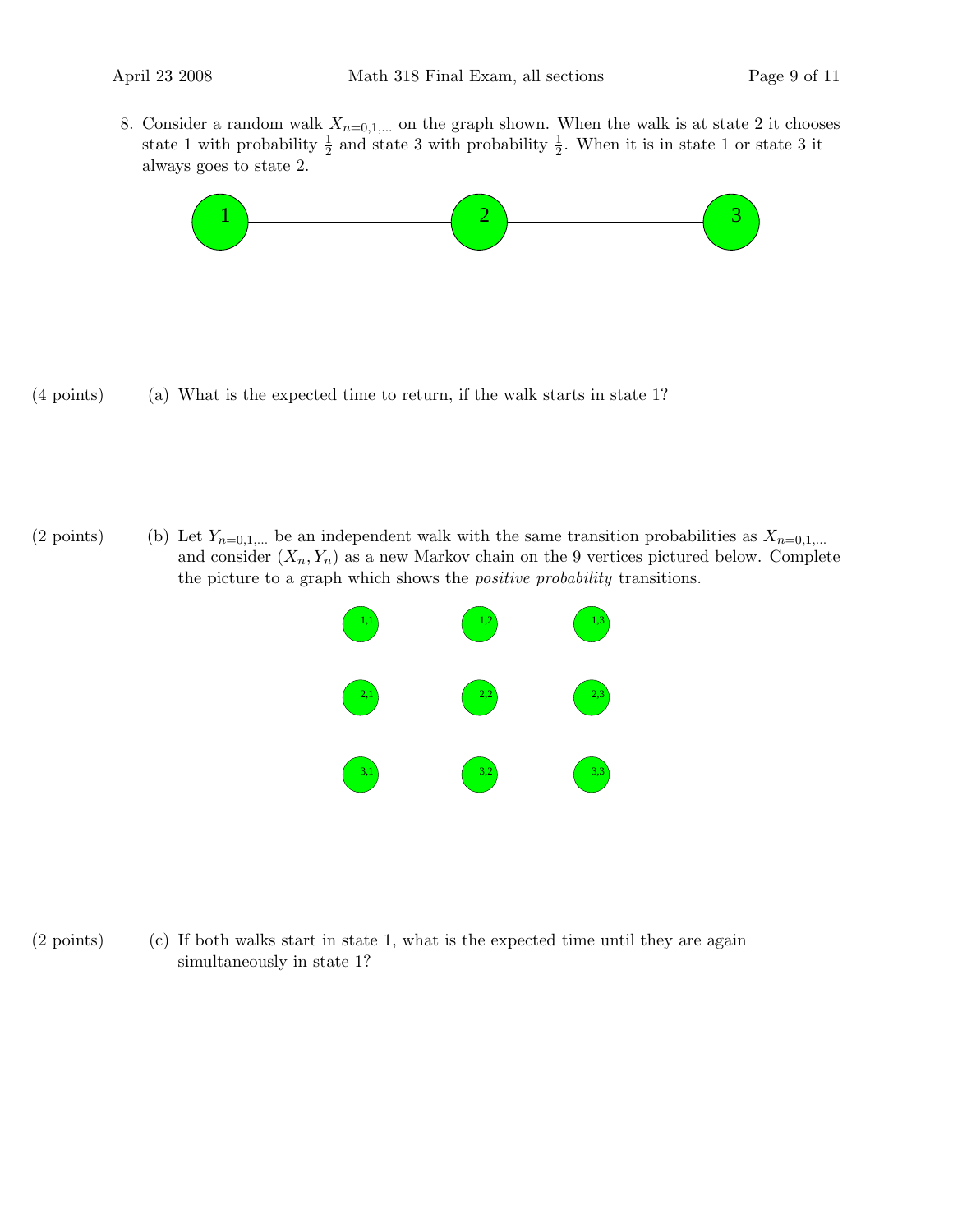8. Consider a random walk  $X_{n=0,1,...}$  on the graph shown. When the walk is at state 2 it chooses state 1 with probability  $\frac{1}{2}$  and state 3 with probability  $\frac{1}{2}$ . When it is in state 1 or state 3 it always goes to state 2.



 $(4 \text{ points})$  (a) What is the expected time to return, if the walk starts in state 1?

(2 points) (b) Let  $Y_{n=0,1,...}$  be an independent walk with the same transition probabilities as  $X_{n=0,1,...}$ and consider  $(X_n, Y_n)$  as a new Markov chain on the 9 vertices pictured below. Complete the picture to a graph which shows the positive probability transitions.



 $(2 \text{ points})$  If both walks start in state 1, what is the expected time until they are again simultaneously in state 1?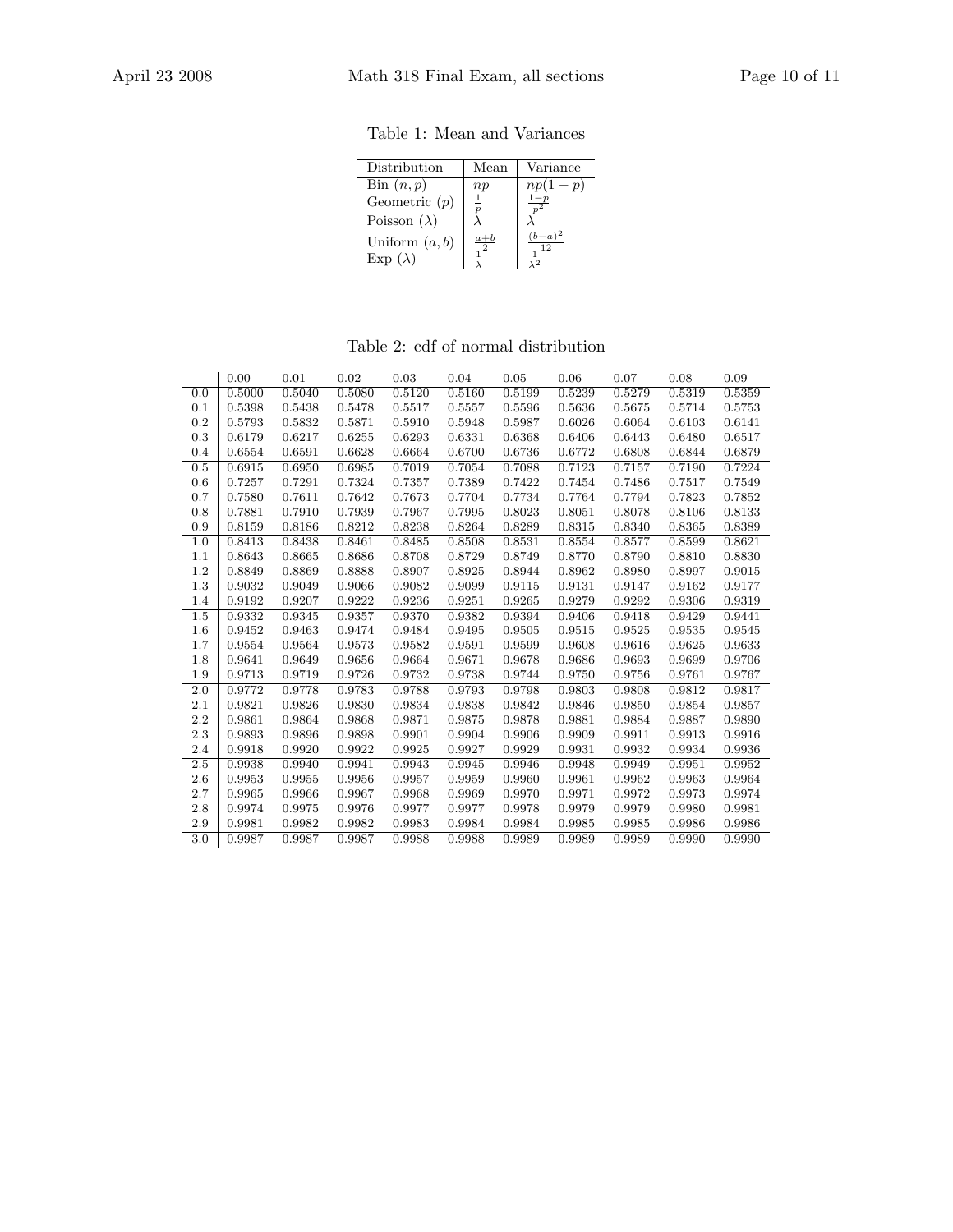Table 1: Mean and Variances

| Distribution                                                        | Mean                 | Variance                          |
|---------------------------------------------------------------------|----------------------|-----------------------------------|
| $\operatorname{Bin}(n,p)$<br>Geometric $(p)$<br>Poisson $(\lambda)$ | np<br>$\overline{1}$ | $np(1-p)$                         |
| Uniform $(a, b)$<br>$Exp(\lambda)$                                  | $a+b$                | $(b-a)^2$<br>12<br>$\overline{2}$ |

# Table 2: cdf of normal distribution

|         | 0.00   | 0.01   | 0.02   | 0.03   | 0.04   | 0.05   | 0.06   | 0.07   | 0.08   | 0.09   |
|---------|--------|--------|--------|--------|--------|--------|--------|--------|--------|--------|
| 0.0     | 0.5000 | 0.5040 | 0.5080 | 0.5120 | 0.5160 | 0.5199 | 0.5239 | 0.5279 | 0.5319 | 0.5359 |
| 0.1     | 0.5398 | 0.5438 | 0.5478 | 0.5517 | 0.5557 | 0.5596 | 0.5636 | 0.5675 | 0.5714 | 0.5753 |
| 0.2     | 0.5793 | 0.5832 | 0.5871 | 0.5910 | 0.5948 | 0.5987 | 0.6026 | 0.6064 | 0.6103 | 0.6141 |
| 0.3     | 0.6179 | 0.6217 | 0.6255 | 0.6293 | 0.6331 | 0.6368 | 0.6406 | 0.6443 | 0.6480 | 0.6517 |
| 0.4     | 0.6554 | 0.6591 | 0.6628 | 0.6664 | 0.6700 | 0.6736 | 0.6772 | 0.6808 | 0.6844 | 0.6879 |
| 0.5     | 0.6915 | 0.6950 | 0.6985 | 0.7019 | 0.7054 | 0.7088 | 0.7123 | 0.7157 | 0.7190 | 0.7224 |
| 0.6     | 0.7257 | 0.7291 | 0.7324 | 0.7357 | 0.7389 | 0.7422 | 0.7454 | 0.7486 | 0.7517 | 0.7549 |
| 0.7     | 0.7580 | 0.7611 | 0.7642 | 0.7673 | 0.7704 | 0.7734 | 0.7764 | 0.7794 | 0.7823 | 0.7852 |
| 0.8     | 0.7881 | 0.7910 | 0.7939 | 0.7967 | 0.7995 | 0.8023 | 0.8051 | 0.8078 | 0.8106 | 0.8133 |
| 0.9     | 0.8159 | 0.8186 | 0.8212 | 0.8238 | 0.8264 | 0.8289 | 0.8315 | 0.8340 | 0.8365 | 0.8389 |
| 1.0     | 0.8413 | 0.8438 | 0.8461 | 0.8485 | 0.8508 | 0.8531 | 0.8554 | 0.8577 | 0.8599 | 0.8621 |
| 1.1     | 0.8643 | 0.8665 | 0.8686 | 0.8708 | 0.8729 | 0.8749 | 0.8770 | 0.8790 | 0.8810 | 0.8830 |
| 1.2     | 0.8849 | 0.8869 | 0.8888 | 0.8907 | 0.8925 | 0.8944 | 0.8962 | 0.8980 | 0.8997 | 0.9015 |
| 1.3     | 0.9032 | 0.9049 | 0.9066 | 0.9082 | 0.9099 | 0.9115 | 0.9131 | 0.9147 | 0.9162 | 0.9177 |
| 1.4     | 0.9192 | 0.9207 | 0.9222 | 0.9236 | 0.9251 | 0.9265 | 0.9279 | 0.9292 | 0.9306 | 0.9319 |
| 1.5     | 0.9332 | 0.9345 | 0.9357 | 0.9370 | 0.9382 | 0.9394 | 0.9406 | 0.9418 | 0.9429 | 0.9441 |
| 1.6     | 0.9452 | 0.9463 | 0.9474 | 0.9484 | 0.9495 | 0.9505 | 0.9515 | 0.9525 | 0.9535 | 0.9545 |
| 1.7     | 0.9554 | 0.9564 | 0.9573 | 0.9582 | 0.9591 | 0.9599 | 0.9608 | 0.9616 | 0.9625 | 0.9633 |
| 1.8     | 0.9641 | 0.9649 | 0.9656 | 0.9664 | 0.9671 | 0.9678 | 0.9686 | 0.9693 | 0.9699 | 0.9706 |
| 1.9     | 0.9713 | 0.9719 | 0.9726 | 0.9732 | 0.9738 | 0.9744 | 0.9750 | 0.9756 | 0.9761 | 0.9767 |
| 2.0     | 0.9772 | 0.9778 | 0.9783 | 0.9788 | 0.9793 | 0.9798 | 0.9803 | 0.9808 | 0.9812 | 0.9817 |
| 2.1     | 0.9821 | 0.9826 | 0.9830 | 0.9834 | 0.9838 | 0.9842 | 0.9846 | 0.9850 | 0.9854 | 0.9857 |
| 2.2     | 0.9861 | 0.9864 | 0.9868 | 0.9871 | 0.9875 | 0.9878 | 0.9881 | 0.9884 | 0.9887 | 0.9890 |
| 2.3     | 0.9893 | 0.9896 | 0.9898 | 0.9901 | 0.9904 | 0.9906 | 0.9909 | 0.9911 | 0.9913 | 0.9916 |
| 2.4     | 0.9918 | 0.9920 | 0.9922 | 0.9925 | 0.9927 | 0.9929 | 0.9931 | 0.9932 | 0.9934 | 0.9936 |
| $2.5\,$ | 0.9938 | 0.9940 | 0.9941 | 0.9943 | 0.9945 | 0.9946 | 0.9948 | 0.9949 | 0.9951 | 0.9952 |
| 2.6     | 0.9953 | 0.9955 | 0.9956 | 0.9957 | 0.9959 | 0.9960 | 0.9961 | 0.9962 | 0.9963 | 0.9964 |
| 2.7     | 0.9965 | 0.9966 | 0.9967 | 0.9968 | 0.9969 | 0.9970 | 0.9971 | 0.9972 | 0.9973 | 0.9974 |
| 2.8     | 0.9974 | 0.9975 | 0.9976 | 0.9977 | 0.9977 | 0.9978 | 0.9979 | 0.9979 | 0.9980 | 0.9981 |
| 2.9     | 0.9981 | 0.9982 | 0.9982 | 0.9983 | 0.9984 | 0.9984 | 0.9985 | 0.9985 | 0.9986 | 0.9986 |
| 3.0     | 0.9987 | 0.9987 | 0.9987 | 0.9988 | 0.9988 | 0.9989 | 0.9989 | 0.9989 | 0.9990 | 0.9990 |